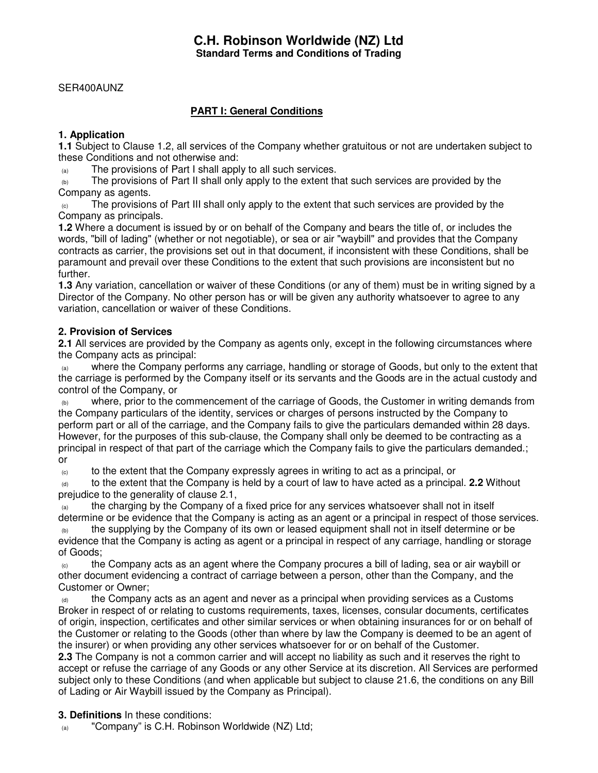# **C.H. Robinson Worldwide (NZ) Ltd Standard Terms and Conditions of Trading**

#### SER400AUNZ

# **PART I: General Conditions**

# **1. Application**

**1.1** Subject to Clause 1.2, all services of the Company whether gratuitous or not are undertaken subject to these Conditions and not otherwise and:

(a) The provisions of Part I shall apply to all such services.

 $_{(b)}$  The provisions of Part II shall only apply to the extent that such services are provided by the Company as agents.

The provisions of Part III shall only apply to the extent that such services are provided by the Company as principals.

**1.2** Where a document is issued by or on behalf of the Company and bears the title of, or includes the words, "bill of lading" (whether or not negotiable), or sea or air "waybill" and provides that the Company contracts as carrier, the provisions set out in that document, if inconsistent with these Conditions, shall be paramount and prevail over these Conditions to the extent that such provisions are inconsistent but no further.

**1.3** Any variation, cancellation or waiver of these Conditions (or any of them) must be in writing signed by a Director of the Company. No other person has or will be given any authority whatsoever to agree to any variation, cancellation or waiver of these Conditions.

#### **2. Provision of Services**

**2.1** All services are provided by the Company as agents only, except in the following circumstances where the Company acts as principal:

(a) where the Company performs any carriage, handling or storage of Goods, but only to the extent that the carriage is performed by the Company itself or its servants and the Goods are in the actual custody and control of the Company, or

where, prior to the commencement of the carriage of Goods, the Customer in writing demands from the Company particulars of the identity, services or charges of persons instructed by the Company to perform part or all of the carriage, and the Company fails to give the particulars demanded within 28 days. However, for the purposes of this sub-clause, the Company shall only be deemed to be contracting as a principal in respect of that part of the carriage which the Company fails to give the particulars demanded.; or

 $\epsilon$  to the extent that the Company expressly agrees in writing to act as a principal, or

(d) to the extent that the Company is held by a court of law to have acted as a principal. **2.2** Without prejudice to the generality of clause 2.1,

the charging by the Company of a fixed price for any services whatsoever shall not in itself determine or be evidence that the Company is acting as an agent or a principal in respect of those services.

the supplying by the Company of its own or leased equipment shall not in itself determine or be evidence that the Company is acting as agent or a principal in respect of any carriage, handling or storage of Goods;

 $\epsilon$  the Company acts as an agent where the Company procures a bill of lading, sea or air waybill or other document evidencing a contract of carriage between a person, other than the Company, and the Customer or Owner;

 $\theta$  the Company acts as an agent and never as a principal when providing services as a Customs Broker in respect of or relating to customs requirements, taxes, licenses, consular documents, certificates of origin, inspection, certificates and other similar services or when obtaining insurances for or on behalf of the Customer or relating to the Goods (other than where by law the Company is deemed to be an agent of the insurer) or when providing any other services whatsoever for or on behalf of the Customer.

**2.3** The Company is not a common carrier and will accept no liability as such and it reserves the right to accept or refuse the carriage of any Goods or any other Service at its discretion. All Services are performed subject only to these Conditions (and when applicable but subject to clause 21.6, the conditions on any Bill of Lading or Air Waybill issued by the Company as Principal).

**3. Definitions** In these conditions:

(a) "Company" is C.H. Robinson Worldwide (NZ) Ltd;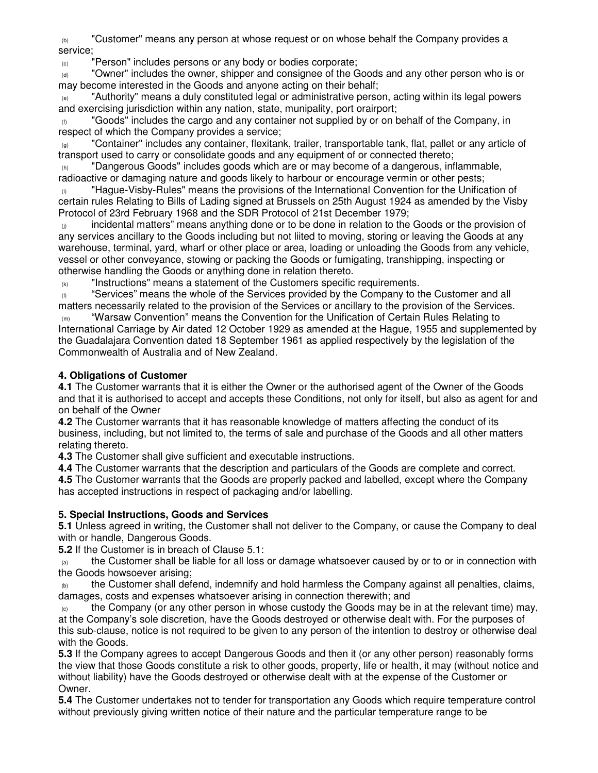(b) "Customer" means any person at whose request or on whose behalf the Company provides a service;

(c) "Person" includes persons or any body or bodies corporate;

 $\alpha$  "Owner" includes the owner, shipper and consignee of the Goods and any other person who is or may become interested in the Goods and anyone acting on their behalf;

"Authority" means a duly constituted legal or administrative person, acting within its legal powers and exercising jurisdiction within any nation, state, munipality, port orairport;

 $(f)$  "Goods" includes the cargo and any container not supplied by or on behalf of the Company, in respect of which the Company provides a service;

(g) "Container" includes any container, flexitank, trailer, transportable tank, flat, pallet or any article of transport used to carry or consolidate goods and any equipment of or connected thereto;

"Dangerous Goods" includes goods which are or may become of a dangerous, inflammable, radioactive or damaging nature and goods likely to harbour or encourage vermin or other pests;

 $\omega$  "Hague-Visby-Rules" means the provisions of the International Convention for the Unification of certain rules Relating to Bills of Lading signed at Brussels on 25th August 1924 as amended by the Visby Protocol of 23rd February 1968 and the SDR Protocol of 21st December 1979;

incidental matters" means anything done or to be done in relation to the Goods or the provision of any services ancillary to the Goods including but not liited to moving, storing or leaving the Goods at any warehouse, terminal, yard, wharf or other place or area, loading or unloading the Goods from any vehicle, vessel or other conveyance, stowing or packing the Goods or fumigating, transhipping, inspecting or otherwise handling the Goods or anything done in relation thereto.

 $(k)$  "Instructions" means a statement of the Customers specific requirements.

 $\binom{10}{10}$  "Services" means the whole of the Services provided by the Company to the Customer and all matters necessarily related to the provision of the Services or ancillary to the provision of the Services.

"Warsaw Convention" means the Convention for the Unification of Certain Rules Relating to International Carriage by Air dated 12 October 1929 as amended at the Hague, 1955 and supplemented by the Guadalajara Convention dated 18 September 1961 as applied respectively by the legislation of the Commonwealth of Australia and of New Zealand.

# **4. Obligations of Customer**

**4.1** The Customer warrants that it is either the Owner or the authorised agent of the Owner of the Goods and that it is authorised to accept and accepts these Conditions, not only for itself, but also as agent for and on behalf of the Owner

**4.2** The Customer warrants that it has reasonable knowledge of matters affecting the conduct of its business, including, but not limited to, the terms of sale and purchase of the Goods and all other matters relating thereto.

**4.3** The Customer shall give sufficient and executable instructions.

**4.4** The Customer warrants that the description and particulars of the Goods are complete and correct.

**4.5** The Customer warrants that the Goods are properly packed and labelled, except where the Company has accepted instructions in respect of packaging and/or labelling.

# **5. Special Instructions, Goods and Services**

**5.1** Unless agreed in writing, the Customer shall not deliver to the Company, or cause the Company to deal with or handle, Dangerous Goods.

**5.2** If the Customer is in breach of Clause 5.1:

 $\alpha$  the Customer shall be liable for all loss or damage whatsoever caused by or to or in connection with the Goods howsoever arising;

the Customer shall defend, indemnify and hold harmless the Company against all penalties, claims, damages, costs and expenses whatsoever arising in connection therewith; and

 $_{(c)}$  the Company (or any other person in whose custody the Goods may be in at the relevant time) may, at the Company's sole discretion, have the Goods destroyed or otherwise dealt with. For the purposes of this sub-clause, notice is not required to be given to any person of the intention to destroy or otherwise deal with the Goods.

**5.3** If the Company agrees to accept Dangerous Goods and then it (or any other person) reasonably forms the view that those Goods constitute a risk to other goods, property, life or health, it may (without notice and without liability) have the Goods destroyed or otherwise dealt with at the expense of the Customer or Owner.

**5.4** The Customer undertakes not to tender for transportation any Goods which require temperature control without previously giving written notice of their nature and the particular temperature range to be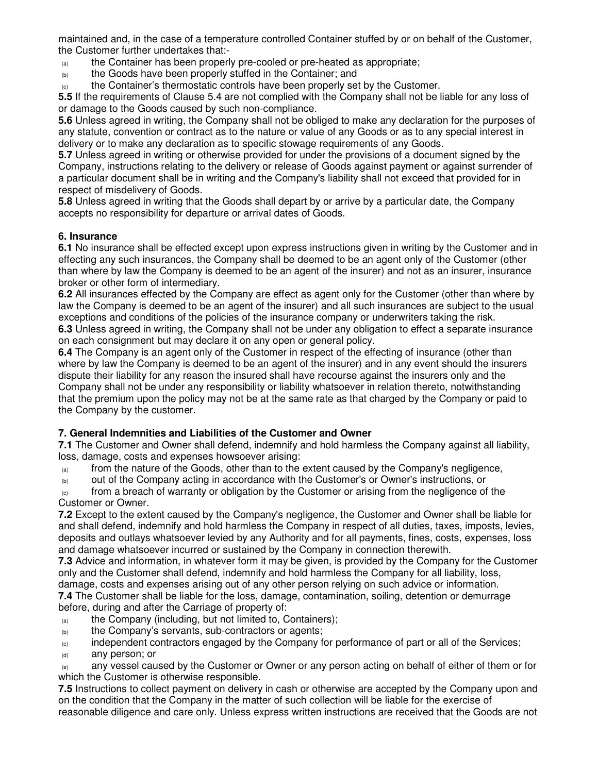maintained and, in the case of a temperature controlled Container stuffed by or on behalf of the Customer, the Customer further undertakes that:-

- $\alpha$  the Container has been properly pre-cooled or pre-heated as appropriate;
- (b) the Goods have been properly stuffed in the Container; and
- $\langle c \rangle$  the Container's thermostatic controls have been properly set by the Customer.

**5.5** If the requirements of Clause 5.4 are not complied with the Company shall not be liable for any loss of or damage to the Goods caused by such non-compliance.

**5.6** Unless agreed in writing, the Company shall not be obliged to make any declaration for the purposes of any statute, convention or contract as to the nature or value of any Goods or as to any special interest in delivery or to make any declaration as to specific stowage requirements of any Goods.

**5.7** Unless agreed in writing or otherwise provided for under the provisions of a document signed by the Company, instructions relating to the delivery or release of Goods against payment or against surrender of a particular document shall be in writing and the Company's liability shall not exceed that provided for in respect of misdelivery of Goods.

**5.8** Unless agreed in writing that the Goods shall depart by or arrive by a particular date, the Company accepts no responsibility for departure or arrival dates of Goods.

### **6. Insurance**

**6.1** No insurance shall be effected except upon express instructions given in writing by the Customer and in effecting any such insurances, the Company shall be deemed to be an agent only of the Customer (other than where by law the Company is deemed to be an agent of the insurer) and not as an insurer, insurance broker or other form of intermediary.

**6.2** All insurances effected by the Company are effect as agent only for the Customer (other than where by law the Company is deemed to be an agent of the insurer) and all such insurances are subject to the usual exceptions and conditions of the policies of the insurance company or underwriters taking the risk.

**6.3** Unless agreed in writing, the Company shall not be under any obligation to effect a separate insurance on each consignment but may declare it on any open or general policy.

**6.4** The Company is an agent only of the Customer in respect of the effecting of insurance (other than where by law the Company is deemed to be an agent of the insurer) and in any event should the insurers dispute their liability for any reason the insured shall have recourse against the insurers only and the Company shall not be under any responsibility or liability whatsoever in relation thereto, notwithstanding that the premium upon the policy may not be at the same rate as that charged by the Company or paid to the Company by the customer.

#### **7. General Indemnities and Liabilities of the Customer and Owner**

**7.1** The Customer and Owner shall defend, indemnify and hold harmless the Company against all liability, loss, damage, costs and expenses howsoever arising:

 $\epsilon_{\text{a}}$  from the nature of the Goods, other than to the extent caused by the Company's negligence,

 $\omega$  out of the Company acting in accordance with the Customer's or Owner's instructions, or

 $(c)$  from a breach of warranty or obligation by the Customer or arising from the negligence of the Customer or Owner.

**7.2** Except to the extent caused by the Company's negligence, the Customer and Owner shall be liable for and shall defend, indemnify and hold harmless the Company in respect of all duties, taxes, imposts, levies, deposits and outlays whatsoever levied by any Authority and for all payments, fines, costs, expenses, loss and damage whatsoever incurred or sustained by the Company in connection therewith.

**7.3** Advice and information, in whatever form it may be given, is provided by the Company for the Customer only and the Customer shall defend, indemnify and hold harmless the Company for all liability, loss,

damage, costs and expenses arising out of any other person relying on such advice or information. **7.4** The Customer shall be liable for the loss, damage, contamination, soiling, detention or demurrage before, during and after the Carriage of property of:

- $\mu$  the Company (including, but not limited to, Containers);
- (b) the Company's servants, sub-contractors or agents;

(c) independent contractors engaged by the Company for performance of part or all of the Services; (d) any person; or

(e) any vessel caused by the Customer or Owner or any person acting on behalf of either of them or for which the Customer is otherwise responsible.

**7.5** Instructions to collect payment on delivery in cash or otherwise are accepted by the Company upon and on the condition that the Company in the matter of such collection will be liable for the exercise of reasonable diligence and care only. Unless express written instructions are received that the Goods are not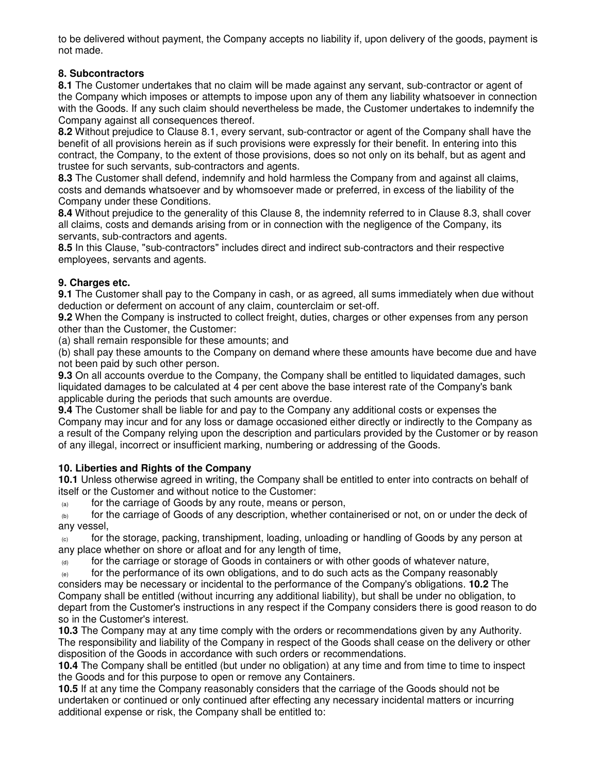to be delivered without payment, the Company accepts no liability if, upon delivery of the goods, payment is not made.

### **8. Subcontractors**

**8.1** The Customer undertakes that no claim will be made against any servant, sub-contractor or agent of the Company which imposes or attempts to impose upon any of them any liability whatsoever in connection with the Goods. If any such claim should nevertheless be made, the Customer undertakes to indemnify the Company against all consequences thereof.

**8.2** Without prejudice to Clause 8.1, every servant, sub-contractor or agent of the Company shall have the benefit of all provisions herein as if such provisions were expressly for their benefit. In entering into this contract, the Company, to the extent of those provisions, does so not only on its behalf, but as agent and trustee for such servants, sub-contractors and agents.

**8.3** The Customer shall defend, indemnify and hold harmless the Company from and against all claims, costs and demands whatsoever and by whomsoever made or preferred, in excess of the liability of the Company under these Conditions.

**8.4** Without prejudice to the generality of this Clause 8, the indemnity referred to in Clause 8.3, shall cover all claims, costs and demands arising from or in connection with the negligence of the Company, its servants, sub-contractors and agents.

**8.5** In this Clause, "sub-contractors" includes direct and indirect sub-contractors and their respective employees, servants and agents.

### **9. Charges etc.**

**9.1** The Customer shall pay to the Company in cash, or as agreed, all sums immediately when due without deduction or deferment on account of any claim, counterclaim or set-off.

**9.2** When the Company is instructed to collect freight, duties, charges or other expenses from any person other than the Customer, the Customer:

(a) shall remain responsible for these amounts; and

(b) shall pay these amounts to the Company on demand where these amounts have become due and have not been paid by such other person.

**9.3** On all accounts overdue to the Company, the Company shall be entitled to liquidated damages, such liquidated damages to be calculated at 4 per cent above the base interest rate of the Company's bank applicable during the periods that such amounts are overdue.

**9.4** The Customer shall be liable for and pay to the Company any additional costs or expenses the Company may incur and for any loss or damage occasioned either directly or indirectly to the Company as a result of the Company relying upon the description and particulars provided by the Customer or by reason of any illegal, incorrect or insufficient marking, numbering or addressing of the Goods.

# **10. Liberties and Rights of the Company**

**10.1** Unless otherwise agreed in writing, the Company shall be entitled to enter into contracts on behalf of itself or the Customer and without notice to the Customer:

(a) for the carriage of Goods by any route, means or person,

(b) for the carriage of Goods of any description, whether containerised or not, on or under the deck of any vessel,

for the storage, packing, transhipment, loading, unloading or handling of Goods by any person at any place whether on shore or afloat and for any length of time,

 $\alpha$  for the carriage or storage of Goods in containers or with other goods of whatever nature,

 $\epsilon$  for the performance of its own obligations, and to do such acts as the Company reasonably considers may be necessary or incidental to the performance of the Company's obligations. **10.2** The Company shall be entitled (without incurring any additional liability), but shall be under no obligation, to depart from the Customer's instructions in any respect if the Company considers there is good reason to do so in the Customer's interest.

**10.3** The Company may at any time comply with the orders or recommendations given by any Authority. The responsibility and liability of the Company in respect of the Goods shall cease on the delivery or other disposition of the Goods in accordance with such orders or recommendations.

**10.4** The Company shall be entitled (but under no obligation) at any time and from time to time to inspect the Goods and for this purpose to open or remove any Containers.

**10.5** If at any time the Company reasonably considers that the carriage of the Goods should not be undertaken or continued or only continued after effecting any necessary incidental matters or incurring additional expense or risk, the Company shall be entitled to: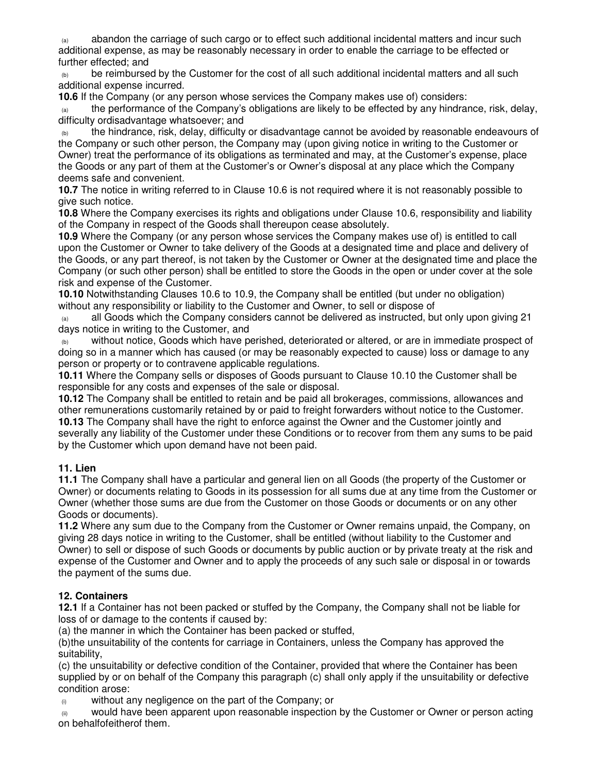abandon the carriage of such cargo or to effect such additional incidental matters and incur such additional expense, as may be reasonably necessary in order to enable the carriage to be effected or further effected; and

 $\omega$  be reimbursed by the Customer for the cost of all such additional incidental matters and all such additional expense incurred.

**10.6** If the Company (or any person whose services the Company makes use of) considers:

 $\alpha$  the performance of the Company's obligations are likely to be effected by any hindrance, risk, delay, difficulty ordisadvantage whatsoever; and

the hindrance, risk, delay, difficulty or disadvantage cannot be avoided by reasonable endeavours of the Company or such other person, the Company may (upon giving notice in writing to the Customer or Owner) treat the performance of its obligations as terminated and may, at the Customer's expense, place the Goods or any part of them at the Customer's or Owner's disposal at any place which the Company deems safe and convenient.

**10.7** The notice in writing referred to in Clause 10.6 is not required where it is not reasonably possible to give such notice.

**10.8** Where the Company exercises its rights and obligations under Clause 10.6, responsibility and liability of the Company in respect of the Goods shall thereupon cease absolutely.

**10.9** Where the Company (or any person whose services the Company makes use of) is entitled to call upon the Customer or Owner to take delivery of the Goods at a designated time and place and delivery of the Goods, or any part thereof, is not taken by the Customer or Owner at the designated time and place the Company (or such other person) shall be entitled to store the Goods in the open or under cover at the sole risk and expense of the Customer.

**10.10** Notwithstanding Clauses 10.6 to 10.9, the Company shall be entitled (but under no obligation) without any responsibility or liability to the Customer and Owner, to sell or dispose of

all Goods which the Company considers cannot be delivered as instructed, but only upon giving 21 days notice in writing to the Customer, and

(b) without notice, Goods which have perished, deteriorated or altered, or are in immediate prospect of doing so in a manner which has caused (or may be reasonably expected to cause) loss or damage to any person or property or to contravene applicable regulations.

**10.11** Where the Company sells or disposes of Goods pursuant to Clause 10.10 the Customer shall be responsible for any costs and expenses of the sale or disposal.

**10.12** The Company shall be entitled to retain and be paid all brokerages, commissions, allowances and other remunerations customarily retained by or paid to freight forwarders without notice to the Customer. **10.13** The Company shall have the right to enforce against the Owner and the Customer jointly and severally any liability of the Customer under these Conditions or to recover from them any sums to be paid by the Customer which upon demand have not been paid.

# **11. Lien**

**11.1** The Company shall have a particular and general lien on all Goods (the property of the Customer or Owner) or documents relating to Goods in its possession for all sums due at any time from the Customer or Owner (whether those sums are due from the Customer on those Goods or documents or on any other Goods or documents).

**11.2** Where any sum due to the Company from the Customer or Owner remains unpaid, the Company, on giving 28 days notice in writing to the Customer, shall be entitled (without liability to the Customer and Owner) to sell or dispose of such Goods or documents by public auction or by private treaty at the risk and expense of the Customer and Owner and to apply the proceeds of any such sale or disposal in or towards the payment of the sums due.

# **12. Containers**

**12.1** If a Container has not been packed or stuffed by the Company, the Company shall not be liable for loss of or damage to the contents if caused by:

(a) the manner in which the Container has been packed or stuffed,

(b)the unsuitability of the contents for carriage in Containers, unless the Company has approved the suitability,

(c) the unsuitability or defective condition of the Container, provided that where the Container has been supplied by or on behalf of the Company this paragraph (c) shall only apply if the unsuitability or defective condition arose:

(i) without any negligence on the part of the Company; or

 $\omega$  would have been apparent upon reasonable inspection by the Customer or Owner or person acting on behalfofeitherof them.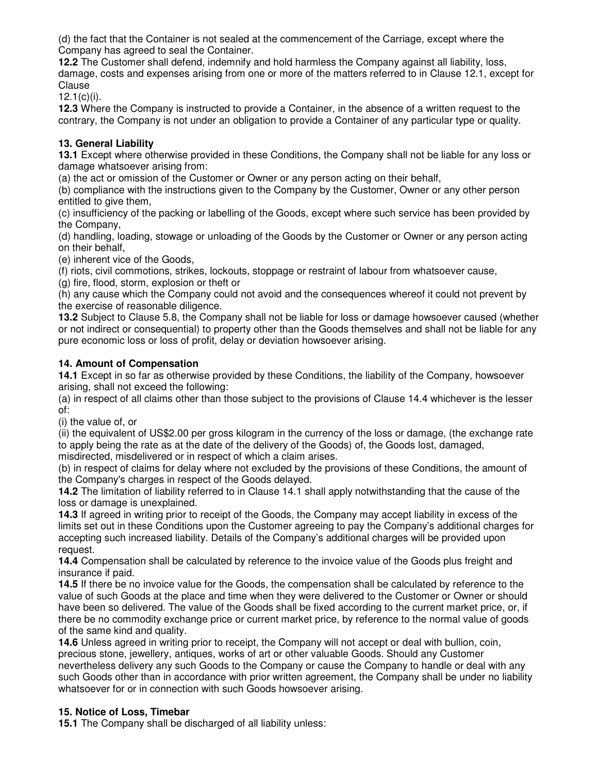(d) the fact that the Container is not sealed at the commencement of the Carriage, except where the Company has agreed to seal the Container.

**12.2** The Customer shall defend, indemnify and hold harmless the Company against all liability, loss, damage, costs and expenses arising from one or more of the matters referred to in Clause 12.1, except for Clause

 $12.1(c)(i)$ .

**12.3** Where the Company is instructed to provide a Container, in the absence of a written request to the contrary, the Company is not under an obligation to provide a Container of any particular type or quality.

### **13. General Liability**

**13.1** Except where otherwise provided in these Conditions, the Company shall not be liable for any loss or damage whatsoever arising from:

(a) the act or omission of the Customer or Owner or any person acting on their behalf,

(b) compliance with the instructions given to the Company by the Customer, Owner or any other person entitled to give them.

(c) insufficiency of the packing or labelling of the Goods, except where such service has been provided by the Company,

(d) handling, loading, stowage or unloading of the Goods by the Customer or Owner or any person acting on their behalf,

(e) inherent vice of the Goods,

(f) riots, civil commotions, strikes, lockouts, stoppage or restraint of labour from whatsoever cause,

(g) fire, flood, storm, explosion or theft or

(h) any cause which the Company could not avoid and the consequences whereof it could not prevent by the exercise of reasonable diligence.

**13.2** Subject to Clause 5.8, the Company shall not be liable for loss or damage howsoever caused (whether or not indirect or consequential) to property other than the Goods themselves and shall not be liable for any pure economic loss or loss of profit, delay or deviation howsoever arising.

### **14. Amount of Compensation**

**14.1** Except in so far as otherwise provided by these Conditions, the liability of the Company, howsoever arising, shall not exceed the following:

(a) in respect of all claims other than those subject to the provisions of Clause 14.4 whichever is the lesser of:

(i) the value of, or

(ii) the equivalent of US\$2.00 per gross kilogram in the currency of the loss or damage, (the exchange rate to apply being the rate as at the date of the delivery of the Goods) of, the Goods lost, damaged, misdirected, misdelivered or in respect of which a claim arises.

(b) in respect of claims for delay where not excluded by the provisions of these Conditions, the amount of the Company's charges in respect of the Goods delayed.

**14.2** The limitation of liability referred to in Clause 14.1 shall apply notwithstanding that the cause of the loss or damage is unexplained.

**14.3** If agreed in writing prior to receipt of the Goods, the Company may accept liability in excess of the limits set out in these Conditions upon the Customer agreeing to pay the Company's additional charges for accepting such increased liability. Details of the Company's additional charges will be provided upon request.

**14.4** Compensation shall be calculated by reference to the invoice value of the Goods plus freight and insurance if paid.

**14.5** If there be no invoice value for the Goods, the compensation shall be calculated by reference to the value of such Goods at the place and time when they were delivered to the Customer or Owner or should have been so delivered. The value of the Goods shall be fixed according to the current market price, or, if there be no commodity exchange price or current market price, by reference to the normal value of goods of the same kind and quality.

**14.6** Unless agreed in writing prior to receipt, the Company will not accept or deal with bullion, coin, precious stone, jewellery, antiques, works of art or other valuable Goods. Should any Customer nevertheless delivery any such Goods to the Company or cause the Company to handle or deal with any such Goods other than in accordance with prior written agreement, the Company shall be under no liability whatsoever for or in connection with such Goods howsoever arising.

#### **15. Notice of Loss, Timebar**

**15.1** The Company shall be discharged of all liability unless: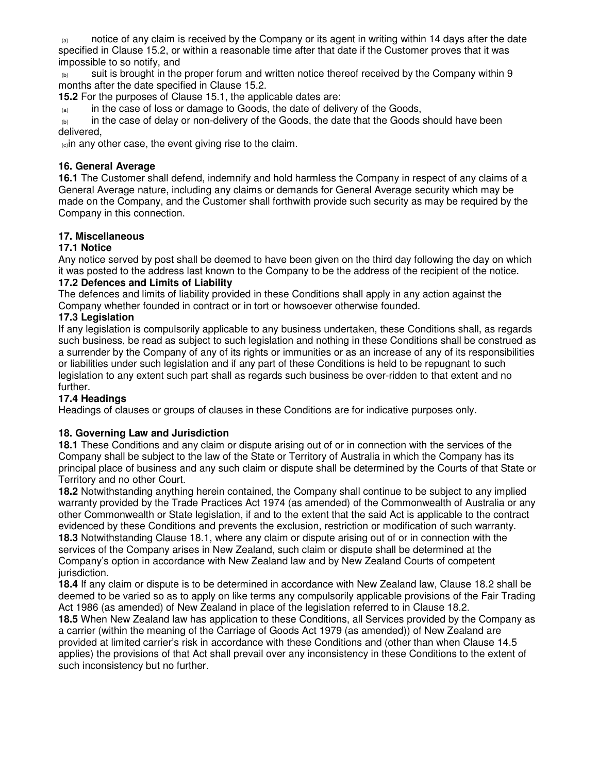notice of any claim is received by the Company or its agent in writing within 14 days after the date specified in Clause 15.2, or within a reasonable time after that date if the Customer proves that it was impossible to so notify, and

 $_{(b)}$  suit is brought in the proper forum and written notice thereof received by the Company within 9 months after the date specified in Clause 15.2.

**15.2** For the purposes of Clause 15.1, the applicable dates are:

 $\alpha$  in the case of loss or damage to Goods, the date of delivery of the Goods,

 $\omega_{\text{lab}}$  in the case of delay or non-delivery of the Goods, the date that the Goods should have been delivered,

 $_{\text{co}}$ in any other case, the event giving rise to the claim.

#### **16. General Average**

**16.1** The Customer shall defend, indemnify and hold harmless the Company in respect of any claims of a General Average nature, including any claims or demands for General Average security which may be made on the Company, and the Customer shall forthwith provide such security as may be required by the Company in this connection.

### **17. Miscellaneous**

#### **17.1 Notice**

Any notice served by post shall be deemed to have been given on the third day following the day on which it was posted to the address last known to the Company to be the address of the recipient of the notice.

#### **17.2 Defences and Limits of Liability**

The defences and limits of liability provided in these Conditions shall apply in any action against the Company whether founded in contract or in tort or howsoever otherwise founded.

### **17.3 Legislation**

If any legislation is compulsorily applicable to any business undertaken, these Conditions shall, as regards such business, be read as subject to such legislation and nothing in these Conditions shall be construed as a surrender by the Company of any of its rights or immunities or as an increase of any of its responsibilities or liabilities under such legislation and if any part of these Conditions is held to be repugnant to such legislation to any extent such part shall as regards such business be over-ridden to that extent and no further.

# **17.4 Headings**

Headings of clauses or groups of clauses in these Conditions are for indicative purposes only.

#### **18. Governing Law and Jurisdiction**

**18.1** These Conditions and any claim or dispute arising out of or in connection with the services of the Company shall be subject to the law of the State or Territory of Australia in which the Company has its principal place of business and any such claim or dispute shall be determined by the Courts of that State or Territory and no other Court.

**18.2** Notwithstanding anything herein contained, the Company shall continue to be subject to any implied warranty provided by the Trade Practices Act 1974 (as amended) of the Commonwealth of Australia or any other Commonwealth or State legislation, if and to the extent that the said Act is applicable to the contract evidenced by these Conditions and prevents the exclusion, restriction or modification of such warranty. **18.3** Notwithstanding Clause 18.1, where any claim or dispute arising out of or in connection with the services of the Company arises in New Zealand, such claim or dispute shall be determined at the Company's option in accordance with New Zealand law and by New Zealand Courts of competent jurisdiction.

**18.4** If any claim or dispute is to be determined in accordance with New Zealand law, Clause 18.2 shall be deemed to be varied so as to apply on like terms any compulsorily applicable provisions of the Fair Trading Act 1986 (as amended) of New Zealand in place of the legislation referred to in Clause 18.2.

**18.5** When New Zealand law has application to these Conditions, all Services provided by the Company as a carrier (within the meaning of the Carriage of Goods Act 1979 (as amended)) of New Zealand are provided at limited carrier's risk in accordance with these Conditions and (other than when Clause 14.5 applies) the provisions of that Act shall prevail over any inconsistency in these Conditions to the extent of such inconsistency but no further.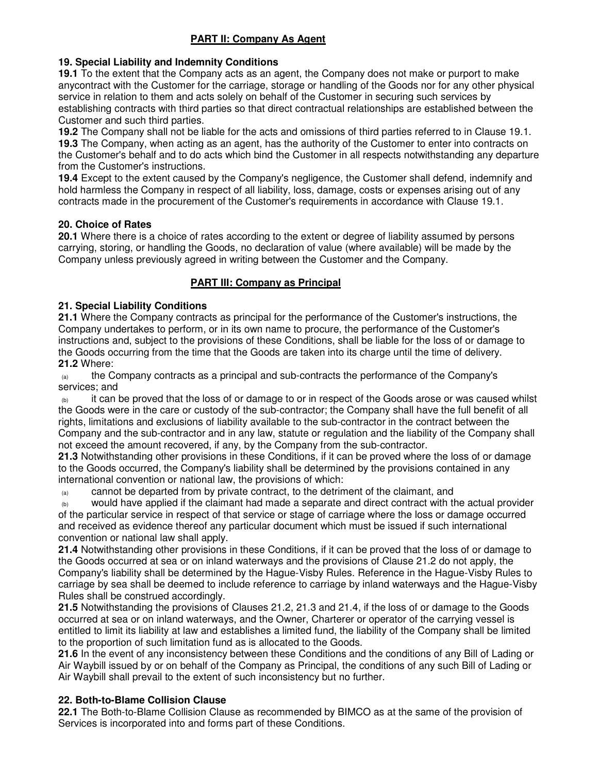# **PART II: Company As Agent**

# **19. Special Liability and Indemnity Conditions**

**19.1** To the extent that the Company acts as an agent, the Company does not make or purport to make anycontract with the Customer for the carriage, storage or handling of the Goods nor for any other physical service in relation to them and acts solely on behalf of the Customer in securing such services by establishing contracts with third parties so that direct contractual relationships are established between the Customer and such third parties.

**19.2** The Company shall not be liable for the acts and omissions of third parties referred to in Clause 19.1. **19.3** The Company, when acting as an agent, has the authority of the Customer to enter into contracts on the Customer's behalf and to do acts which bind the Customer in all respects notwithstanding any departure from the Customer's instructions.

**19.4** Except to the extent caused by the Company's negligence, the Customer shall defend, indemnify and hold harmless the Company in respect of all liability, loss, damage, costs or expenses arising out of any contracts made in the procurement of the Customer's requirements in accordance with Clause 19.1.

#### **20. Choice of Rates**

**20.1** Where there is a choice of rates according to the extent or degree of liability assumed by persons carrying, storing, or handling the Goods, no declaration of value (where available) will be made by the Company unless previously agreed in writing between the Customer and the Company.

### **PART III: Company as Principal**

### **21. Special Liability Conditions**

**21.1** Where the Company contracts as principal for the performance of the Customer's instructions, the Company undertakes to perform, or in its own name to procure, the performance of the Customer's instructions and, subject to the provisions of these Conditions, shall be liable for the loss of or damage to the Goods occurring from the time that the Goods are taken into its charge until the time of delivery. **21.2** Where:

 $\alpha$  the Company contracts as a principal and sub-contracts the performance of the Company's services; and

it can be proved that the loss of or damage to or in respect of the Goods arose or was caused whilst the Goods were in the care or custody of the sub-contractor; the Company shall have the full benefit of all rights, limitations and exclusions of liability available to the sub-contractor in the contract between the Company and the sub-contractor and in any law, statute or regulation and the liability of the Company shall not exceed the amount recovered, if any, by the Company from the sub-contractor.

**21.3** Notwithstanding other provisions in these Conditions, if it can be proved where the loss of or damage to the Goods occurred, the Company's liability shall be determined by the provisions contained in any international convention or national law, the provisions of which:

 $\alpha$  cannot be departed from by private contract, to the detriment of the claimant, and

(b) would have applied if the claimant had made a separate and direct contract with the actual provider of the particular service in respect of that service or stage of carriage where the loss or damage occurred and received as evidence thereof any particular document which must be issued if such international convention or national law shall apply.

**21.4** Notwithstanding other provisions in these Conditions, if it can be proved that the loss of or damage to the Goods occurred at sea or on inland waterways and the provisions of Clause 21.2 do not apply, the Company's liability shall be determined by the Hague-Visby Rules. Reference in the Hague-Visby Rules to carriage by sea shall be deemed to include reference to carriage by inland waterways and the Hague-Visby Rules shall be construed accordingly.

**21.5** Notwithstanding the provisions of Clauses 21.2, 21.3 and 21.4, if the loss of or damage to the Goods occurred at sea or on inland waterways, and the Owner, Charterer or operator of the carrying vessel is entitled to limit its liability at law and establishes a limited fund, the liability of the Company shall be limited to the proportion of such limitation fund as is allocated to the Goods.

**21.6** In the event of any inconsistency between these Conditions and the conditions of any Bill of Lading or Air Waybill issued by or on behalf of the Company as Principal, the conditions of any such Bill of Lading or Air Waybill shall prevail to the extent of such inconsistency but no further.

# **22. Both-to-Blame Collision Clause**

**22.1** The Both-to-Blame Collision Clause as recommended by BIMCO as at the same of the provision of Services is incorporated into and forms part of these Conditions.